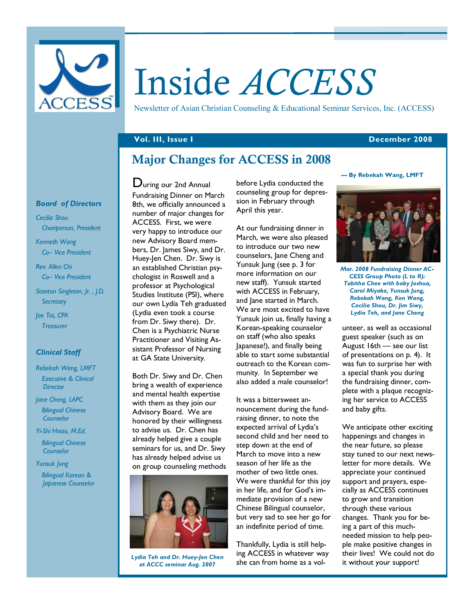

# Inside ACCESS

Newsletter of Asian Christian Counseling & Educational Seminar Services, Inc. (ACCESS)

#### Vol. III, Issue I December 2008

# Major Changes for ACCESS in 2008

## Board of Directors

Cecilia Shou Chairperson, President

Kenneth Wang Co– Vice President

Rev. Allen Chi Co– Vice President

Stanton Singleton, Jr. , J.D. **Secretary** 

Joe Tai, CPA **Treasurer** 

## Clinical Staff

Rebekah Wang, LMFT Executive & Clinical **Director** 

Jane Cheng, LAPC Bilingual Chinese Counselor

Yi-Shi Hsiao, M.Ed.

 Bilingual Chinese **Counselor** 

#### Yunsuk Jung

 Bilingual Korean & Japanese Counselor

During our 2nd Annual Fundraising Dinner on March 8th, we officially announced a number of major changes for ACCESS. First, we were very happy to introduce our new Advisory Board members, Dr. James Siwy, and Dr. Huey-Jen Chen. Dr. Siwy is an established Christian psychologist in Roswell and a professor at Psychological Studies Institute (PSI), where our own Lydia Teh graduated (Lydia even took a course from Dr. Siwy there). Dr. Chen is a Psychiatric Nurse Practitioner and Visiting Assistant Professor of Nursing at GA State University.

Both Dr. Siwy and Dr. Chen bring a wealth of experience and mental health expertise with them as they join our Advisory Board. We are honored by their willingness to advise us. Dr. Chen has already helped give a couple seminars for us, and Dr. Siwy has already helped advise us on group counseling methods



Lydia Teh and Dr. Huey-Jen Chen at ACCC seminar Aug. 2007

before Lydia conducted the counseling group for depression in February through April this year.

At our fundraising dinner in March, we were also pleased to introduce our two new counselors, Jane Cheng and Yunsuk Jung (see p. 3 for more information on our new staff). Yunsuk started with ACCESS in February, and Jane started in March. We are most excited to have Yunsuk join us, finally having a Korean-speaking counselor on staff (who also speaks Japanese!), and finally being able to start some substantial outreach to the Korean community. In September we also added a male counselor!

It was a bittersweet announcement during the fundraising dinner, to note the expected arrival of Lydia's second child and her need to step down at the end of March to move into a new season of her life as the mother of two little ones. We were thankful for this joy in her life, and for God's immediate provision of a new Chinese Bilingual counselor, but very sad to see her go for an indefinite period of time.

Thankfully, Lydia is still helping ACCESS in whatever way she can from home as a vol-

#### — By Rebekah Wang, LMFT



Mar. 2008 Fundraising Dinner AC-CESS Group Photo (L to R): Tabitha Chee with baby Joshua, Carol Miyake, Yunsuk Jung, Rebekah Wang, Ken Wang, Cecilia Shou, Dr. Jim Siwy, Lydia Teh, and Jane Cheng

unteer, as well as occasional guest speaker (such as on August 16th — see our list of presentations on p. 4). It was fun to surprise her with a special thank you during the fundraising dinner, complete with a plaque recognizing her service to ACCESS and baby gifts.

We anticipate other exciting happenings and changes in the near future, so please stay tuned to our next newsletter for more details. We appreciate your continued support and prayers, especially as ACCESS continues to grow and transition through these various changes. Thank you for being a part of this muchneeded mission to help people make positive changes in their lives! We could not do it without your support!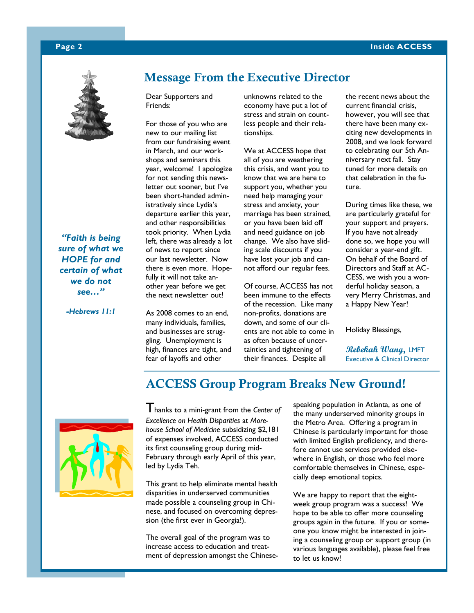## Page 2 Inside ACCESS



"Faith is being sure of what we HOPE for and certain of what we do not see…"

-Hebrews 11:1

# Message From the Executive Director

Dear Supporters and Friends:

For those of you who are new to our mailing list from our fundraising event in March, and our workshops and seminars this year, welcome! I apologize for not sending this newsletter out sooner, but I've been short-handed administratively since Lydia's departure earlier this year, and other responsibilities took priority. When Lydia left, there was already a lot of news to report since our last newsletter. Now there is even more. Hopefully it will not take another year before we get the next newsletter out!

As 2008 comes to an end, many individuals, families, and businesses are struggling. Unemployment is high, finances are tight, and fear of layoffs and other

unknowns related to the economy have put a lot of stress and strain on countless people and their relationships.

We at ACCESS hope that all of you are weathering this crisis, and want you to know that we are here to support you, whether you need help managing your stress and anxiety, your marriage has been strained, or you have been laid off and need guidance on job change. We also have sliding scale discounts if you have lost your job and cannot afford our regular fees.

Of course, ACCESS has not been immune to the effects of the recession. Like many non-profits, donations are down, and some of our clients are not able to come in as often because of uncertainties and tightening of their finances. Despite all

the recent news about the current financial crisis, however, you will see that there have been many exciting new developments in 2008, and we look forward to celebrating our 5th Anniversary next fall. Stay tuned for more details on that celebration in the future.

During times like these, we are particularly grateful for your support and prayers. If you have not already done so, we hope you will consider a year-end gift. On behalf of the Board of Directors and Staff at AC-CESS, we wish you a wonderful holiday season, a very Merry Christmas, and a Happy New Year!

Holiday Blessings,

Rebekah Wang, LMFT Executive & Clinical Director





 $\overline{T}$  hanks to a mini-grant from the Center of Excellence on Health Disparities at Morehouse School of Medicine subsidizing \$2,181 of expenses involved, ACCESS conducted its first counseling group during mid-February through early April of this year, led by Lydia Teh.

This grant to help eliminate mental health disparities in underserved communities made possible a counseling group in Chinese, and focused on overcoming depression (the first ever in Georgia!).

The overall goal of the program was to increase access to education and treatment of depression amongst the Chinesespeaking population in Atlanta, as one of the many underserved minority groups in the Metro Area. Offering a program in Chinese is particularly important for those with limited English proficiency, and therefore cannot use services provided elsewhere in English, or those who feel more comfortable themselves in Chinese, especially deep emotional topics.

We are happy to report that the eightweek group program was a success! We hope to be able to offer more counseling groups again in the future. If you or someone you know might be interested in joining a counseling group or support group (in various languages available), please feel free to let us know!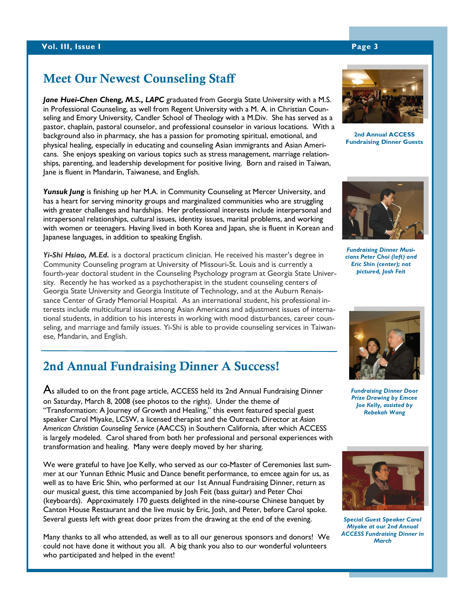# Meet Our Newest Counseling Staff

Jane Huei-Chen Cheng, M.S., LAPC graduated from Georgia State University with a M.S. in Professional Counseling, as well from Regent University with a M. A. in Christian Counseling and Emory University, Candler School of Theology with a M.Div. She has served as a pastor, chaplain, pastoral counselor, and professional counselor in various locations. With a background also in pharmacy, she has a passion for promoting spiritual, emotional, and physical healing, especially in educating and counseling Asian immigrants and Asian Americans. She enjoys speaking on various topics such as stress management, marriage relationships, parenting, and leadership development for positive living. Born and raised in Taiwan, Jane is fluent in Mandarin, Taiwanese, and English.

Yunsuk Jung is finishing up her M.A. in Community Counseling at Mercer University, and has a heart for serving minority groups and marginalized communities who are struggling with greater challenges and hardships. Her professional interests include interpersonal and intrapersonal relationships, cultural issues, identity issues, marital problems, and working with women or teenagers. Having lived in both Korea and Japan, she is fluent in Korean and Japanese languages, in addition to speaking English.

Yi-Shi Hsiao, M.Ed. is a doctoral practicum clinician. He received his master's degree in Community Counseling program at University of Missouri-St. Louis and is currently a fourth-year doctoral student in the Counseling Psychology program at Georgia State University. Recently he has worked as a psychotherapist in the student counseling centers of Georgia State University and Georgia Institute of Technology, and at the Auburn Renaissance Center of Grady Memorial Hospital. As an international student, his professional interests include multicultural issues among Asian Americans and adjustment issues of international students, in addition to his interests in working with mood disturbances, career counseling, and marriage and family issues. Yi-Shi is able to provide counseling services in Taiwanese, Mandarin, and English.

# 2nd Annual Fundraising Dinner A Success!

As alluded to on the front page article, ACCESS held its 2nd Annual Fundraising Dinner on Saturday, March 8, 2008 (see photos to the right). Under the theme of "Transformation: A Journey of Growth and Healing," this event featured special guest speaker Carol Miyake, LCSW, a licensed therapist and the Outreach Director at Asian American Christian Counseling Service (AACCS) in Southern California, after which ACCESS is largely modeled. Carol shared from both her professional and personal experiences with transformation and healing. Many were deeply moved by her sharing.

We were grateful to have Joe Kelly, who served as our co-Master of Ceremonies last summer at our Yunnan Ethnic Music and Dance benefit performance, to emcee again for us, as well as to have Eric Shin, who performed at our 1st Annual Fundraising Dinner, return as our musical guest, this time accompanied by Josh Feit (bass guitar) and Peter Choi (keyboards). Approximately 170 guests delighted in the nine-course Chinese banquet by Canton House Restaurant and the live music by Eric, Josh, and Peter, before Carol spoke. Several guests left with great door prizes from the drawing at the end of the evening.

Many thanks to all who attended, as well as to all our generous sponsors and donors! We could not have done it without you all. A big thank you also to our wonderful volunteers who participated and helped in the event!



2nd Annual ACCESS Fundraising Dinner Guests



Fundraising Dinner Musicians Peter Choi (left) and Eric Shin (center); not pictured, Josh Feit



Fundraising Dinner Door Prize Drawing by Emcee Joe Kelly, assisted by Rebekah Wang



Special Guest Speaker Carol Miyake at our 2nd Annual ACCESS Fundraising Dinner in **March**